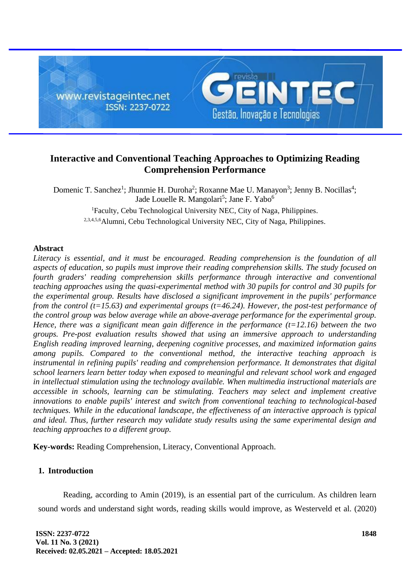

# **Interactive and Conventional Teaching Approaches to Optimizing Reading Comprehension Performance**

Domenic T. Sanchez<sup>1</sup>; Jhunmie H. Duroha<sup>2</sup>; Roxanne Mae U. Manayon<sup>3</sup>; Jenny B. Nocillas<sup>4</sup>; Jade Louelle R. Mangolari<sup>5</sup>; Jane F. Yabo<sup>6</sup> <sup>1</sup>Faculty, Cebu Technological University NEC, City of Naga, Philippines. 2,3,4,5,6Alumni, Cebu Technological University NEC, City of Naga, Philippines.

## **Abstract**

*Literacy is essential, and it must be encouraged. Reading comprehension is the foundation of all aspects of education, so pupils must improve their reading comprehension skills. The study focused on fourth graders' reading comprehension skills performance through interactive and conventional teaching approaches using the quasi-experimental method with 30 pupils for control and 30 pupils for the experimental group. Results have disclosed a significant improvement in the pupils' performance from the control (t=15.63) and experimental groups (t=46.24). However, the post-test performance of the control group was below average while an above-average performance for the experimental group. Hence, there was a significant mean gain difference in the performance (t=12.16) between the two groups. Pre-post evaluation results showed that using an immersive approach to understanding English reading improved learning, deepening cognitive processes, and maximized information gains among pupils. Compared to the conventional method, the interactive teaching approach is instrumental in refining pupils' reading and comprehension performance. It demonstrates that digital school learners learn better today when exposed to meaningful and relevant school work and engaged in intellectual stimulation using the technology available. When multimedia instructional materials are accessible in schools, learning can be stimulating. Teachers may select and implement creative innovations to enable pupils' interest and switch from conventional teaching to technological-based techniques. While in the educational landscape, the effectiveness of an interactive approach is typical and ideal. Thus, further research may validate study results using the same experimental design and teaching approaches to a different group.*

**Key-words:** Reading Comprehension, Literacy, Conventional Approach.

## **1. Introduction**

Reading, according to Amin (2019), is an essential part of the curriculum. As children learn sound words and understand sight words, reading skills would improve, as Westerveld et al. (2020)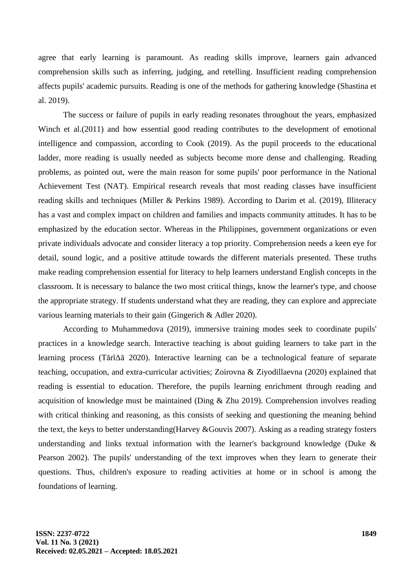agree that early learning is paramount. As reading skills improve, learners gain advanced comprehension skills such as inferring, judging, and retelling. Insufficient reading comprehension affects pupils' academic pursuits. Reading is one of the methods for gathering knowledge (Shastina et al. 2019).

The success or failure of pupils in early reading resonates throughout the years, emphasized Winch et al. (2011) and how essential good reading contributes to the development of emotional intelligence and compassion, according to Cook (2019). As the pupil proceeds to the educational ladder, more reading is usually needed as subjects become more dense and challenging. Reading problems, as pointed out, were the main reason for some pupils' poor performance in the National Achievement Test (NAT). Empirical research reveals that most reading classes have insufficient reading skills and techniques (Miller & Perkins 1989). According to Darim et al. (2019), Illiteracy has a vast and complex impact on children and families and impacts community attitudes. It has to be emphasized by the education sector. Whereas in the Philippines, government organizations or even private individuals advocate and consider literacy a top priority. Comprehension needs a keen eye for detail, sound logic, and a positive attitude towards the different materials presented. These truths make reading comprehension essential for literacy to help learners understand English concepts in the classroom. It is necessary to balance the two most critical things, know the learner's type, and choose the appropriate strategy. If students understand what they are reading, they can explore and appreciate various learning materials to their gain (Gingerich & Adler 2020).

According to Muhammedova (2019), immersive training modes seek to coordinate pupils' practices in a knowledge search. Interactive teaching is about guiding learners to take part in the learning process (TărîΔă 2020). Interactive learning can be a technological feature of separate teaching, occupation, and extra-curricular activities; Zoirovna & Ziyodillaevna (2020) explained that reading is essential to education. Therefore, the pupils learning enrichment through reading and acquisition of knowledge must be maintained (Ding  $\&$  Zhu 2019). Comprehension involves reading with critical thinking and reasoning, as this consists of seeking and questioning the meaning behind the text, the keys to better understanding(Harvey &Gouvis 2007). Asking as a reading strategy fosters understanding and links textual information with the learner's background knowledge (Duke & Pearson 2002). The pupils' understanding of the text improves when they learn to generate their questions. Thus, children's exposure to reading activities at home or in school is among the foundations of learning.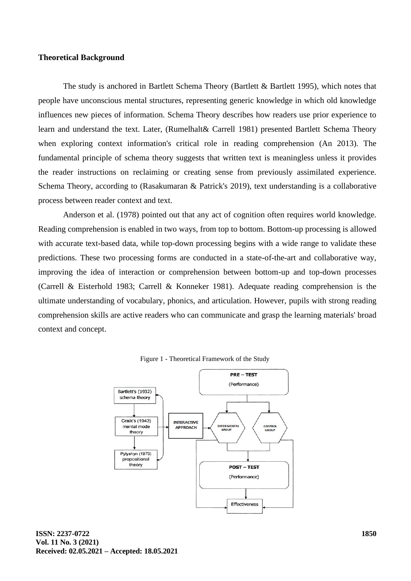#### **Theoretical Background**

The study is anchored in Bartlett Schema Theory (Bartlett & Bartlett 1995), which notes that people have unconscious mental structures, representing generic knowledge in which old knowledge influences new pieces of information. Schema Theory describes how readers use prior experience to learn and understand the text. Later, (Rumelhalt& Carrell 1981) presented Bartlett Schema Theory when exploring context information's critical role in reading comprehension (An 2013). The fundamental principle of schema theory suggests that written text is meaningless unless it provides the reader instructions on reclaiming or creating sense from previously assimilated experience. Schema Theory, according to (Rasakumaran & Patrick's 2019), text understanding is a collaborative process between reader context and text.

Anderson et al. (1978) pointed out that any act of cognition often requires world knowledge. Reading comprehension is enabled in two ways, from top to bottom. Bottom-up processing is allowed with accurate text-based data, while top-down processing begins with a wide range to validate these predictions. These two processing forms are conducted in a state-of-the-art and collaborative way, improving the idea of interaction or comprehension between bottom-up and top-down processes (Carrell & Eisterhold 1983; Carrell & Konneker 1981). Adequate reading comprehension is the ultimate understanding of vocabulary, phonics, and articulation. However, pupils with strong reading comprehension skills are active readers who can communicate and grasp the learning materials' broad context and concept.



Figure 1 - Theoretical Framework of the Study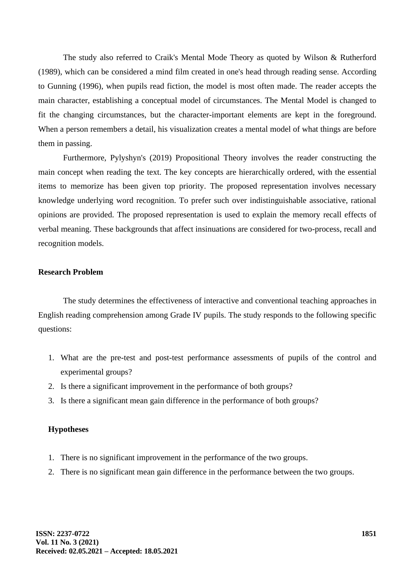The study also referred to Craik's Mental Mode Theory as quoted by Wilson & Rutherford (1989), which can be considered a mind film created in one's head through reading sense. According to Gunning (1996), when pupils read fiction, the model is most often made. The reader accepts the main character, establishing a conceptual model of circumstances. The Mental Model is changed to fit the changing circumstances, but the character-important elements are kept in the foreground. When a person remembers a detail, his visualization creates a mental model of what things are before them in passing.

Furthermore, Pylyshyn's (2019) Propositional Theory involves the reader constructing the main concept when reading the text. The key concepts are hierarchically ordered, with the essential items to memorize has been given top priority. The proposed representation involves necessary knowledge underlying word recognition. To prefer such over indistinguishable associative, rational opinions are provided. The proposed representation is used to explain the memory recall effects of verbal meaning. These backgrounds that affect insinuations are considered for two-process, recall and recognition models.

## **Research Problem**

The study determines the effectiveness of interactive and conventional teaching approaches in English reading comprehension among Grade IV pupils. The study responds to the following specific questions:

- 1. What are the pre-test and post-test performance assessments of pupils of the control and experimental groups?
- 2. Is there a significant improvement in the performance of both groups?
- 3. Is there a significant mean gain difference in the performance of both groups?

## **Hypotheses**

- 1. There is no significant improvement in the performance of the two groups.
- 2. There is no significant mean gain difference in the performance between the two groups.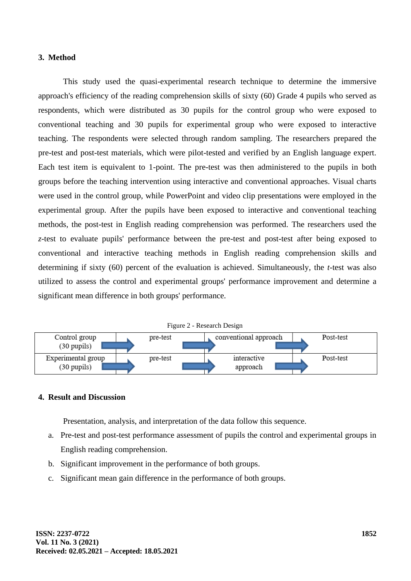#### **3. Method**

This study used the quasi-experimental research technique to determine the immersive approach's efficiency of the reading comprehension skills of sixty (60) Grade 4 pupils who served as respondents, which were distributed as 30 pupils for the control group who were exposed to conventional teaching and 30 pupils for experimental group who were exposed to interactive teaching. The respondents were selected through random sampling. The researchers prepared the pre-test and post-test materials, which were pilot-tested and verified by an English language expert. Each test item is equivalent to 1-point. The pre-test was then administered to the pupils in both groups before the teaching intervention using interactive and conventional approaches. Visual charts were used in the control group, while PowerPoint and video clip presentations were employed in the experimental group. After the pupils have been exposed to interactive and conventional teaching methods, the post-test in English reading comprehension was performed. The researchers used the *z*-test to evaluate pupils' performance between the pre-test and post-test after being exposed to conventional and interactive teaching methods in English reading comprehension skills and determining if sixty (60) percent of the evaluation is achieved. Simultaneously, the *t*-test was also utilized to assess the control and experimental groups' performance improvement and determine a significant mean difference in both groups' performance.



# **4. Result and Discussion**

Presentation, analysis, and interpretation of the data follow this sequence.

- a. Pre-test and post-test performance assessment of pupils the control and experimental groups in English reading comprehension.
- b. Significant improvement in the performance of both groups.
- c. Significant mean gain difference in the performance of both groups.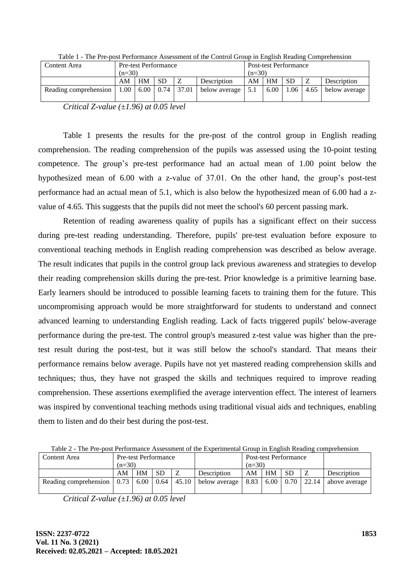| Content Area          | <b>Pre-test Performance</b> |                                |                 |       |               |          | <b>Post-test Performance</b> |           |      |               |  |  |
|-----------------------|-----------------------------|--------------------------------|-----------------|-------|---------------|----------|------------------------------|-----------|------|---------------|--|--|
|                       | $(n=30)$                    |                                |                 |       |               | $(n=30)$ |                              |           |      |               |  |  |
|                       | AM                          | <b>HM</b><br>SD<br>Description |                 |       |               | AM       | <b>HM</b>                    | <b>SD</b> |      | Description   |  |  |
| Reading comprehension | 1.00                        |                                | $6.00 \pm 0.74$ | 37.01 | below average | 5.1      | 6.00                         | 1.06      | 4.65 | below average |  |  |

Table 1 - The Pre-post Performance Assessment of the Control Group in English Reading Comprehension

*Critical Z-value (±1.96) at 0.05 level*

Table 1 presents the results for the pre-post of the control group in English reading comprehension. The reading comprehension of the pupils was assessed using the 10-point testing competence. The group's pre-test performance had an actual mean of 1.00 point below the hypothesized mean of 6.00 with a z-value of 37.01. On the other hand, the group's post-test performance had an actual mean of 5.1, which is also below the hypothesized mean of 6.00 had a zvalue of 4.65. This suggests that the pupils did not meet the school's 60 percent passing mark.

Retention of reading awareness quality of pupils has a significant effect on their success during pre-test reading understanding. Therefore, pupils' pre-test evaluation before exposure to conventional teaching methods in English reading comprehension was described as below average. The result indicates that pupils in the control group lack previous awareness and strategies to develop their reading comprehension skills during the pre-test. Prior knowledge is a primitive learning base. Early learners should be introduced to possible learning facets to training them for the future. This uncompromising approach would be more straightforward for students to understand and connect advanced learning to understanding English reading. Lack of facts triggered pupils' below-average performance during the pre-test. The control group's measured z-test value was higher than the pretest result during the post-test, but it was still below the school's standard. That means their performance remains below average. Pupils have not yet mastered reading comprehension skills and techniques; thus, they have not grasped the skills and techniques required to improve reading comprehension. These assertions exemplified the average intervention effect. The interest of learners was inspired by conventional teaching methods using traditional visual aids and techniques, enabling them to listen and do their best during the post-test.

Table 2 - The Pre-post Performance Assessment of the Experimental Group in English Reading comprehension

| Content Area                                                   | <b>Pre-test Performance</b> |           |     |  |                       | <b>Post-test Performance</b> |    |           |  |                                     |
|----------------------------------------------------------------|-----------------------------|-----------|-----|--|-----------------------|------------------------------|----|-----------|--|-------------------------------------|
|                                                                | $(n=30)$                    |           |     |  |                       | $(n=30)$                     |    |           |  |                                     |
|                                                                | AM                          | <b>HM</b> | SD. |  | Description           | AM                           | HM | <b>SD</b> |  | Description                         |
| Reading comprehension $\vert 0.73 \vert 6.00 \vert 0.64 \vert$ |                             |           |     |  | $45.10$ below average | 8.83                         |    |           |  | 6.00   0.70   22.14   above average |

*Critical Z-value (±1.96) at 0.05 level*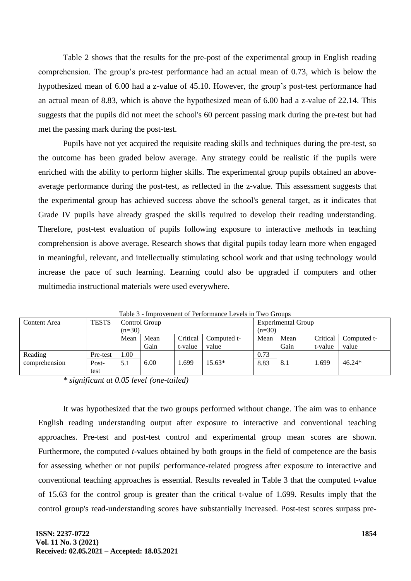Table 2 shows that the results for the pre-post of the experimental group in English reading comprehension. The group's pre-test performance had an actual mean of 0.73, which is below the hypothesized mean of 6.00 had a z-value of 45.10. However, the group's post-test performance had an actual mean of 8.83, which is above the hypothesized mean of 6.00 had a z-value of 22.14. This suggests that the pupils did not meet the school's 60 percent passing mark during the pre-test but had met the passing mark during the post-test.

Pupils have not yet acquired the requisite reading skills and techniques during the pre-test, so the outcome has been graded below average. Any strategy could be realistic if the pupils were enriched with the ability to perform higher skills. The experimental group pupils obtained an aboveaverage performance during the post-test, as reflected in the z-value. This assessment suggests that the experimental group has achieved success above the school's general target, as it indicates that Grade IV pupils have already grasped the skills required to develop their reading understanding. Therefore, post-test evaluation of pupils following exposure to interactive methods in teaching comprehension is above average. Research shows that digital pupils today learn more when engaged in meaningful, relevant, and intellectually stimulating school work and that using technology would increase the pace of such learning. Learning could also be upgraded if computers and other multimedia instructional materials were used everywhere.

| Content Area  | <b>TESTS</b> |          | Control Group |                         |          | <b>Experimental Group</b> |      |          |             |  |  |
|---------------|--------------|----------|---------------|-------------------------|----------|---------------------------|------|----------|-------------|--|--|
|               |              | $(n=30)$ |               |                         |          | $(n=30)$                  |      |          |             |  |  |
|               |              | Mean     | Mean          | Critical<br>Computed t- |          | Mean                      | Mean | Critical | Computed t- |  |  |
|               |              |          | Gain          | t-value                 | value    |                           | Gain | t-value  | value       |  |  |
| Reading       | Pre-test     | 1.00     |               |                         |          | 0.73                      |      |          |             |  |  |
| comprehension | Post-        | 5.1      | 6.00          | .699                    | $15.63*$ | 8.83                      | 8.1  | 1.699    | $46.24*$    |  |  |
|               | test         |          |               |                         |          |                           |      |          |             |  |  |

Table 3 - Improvement of Performance Levels in Two Groups

*\* significant at 0.05 level (one-tailed)*

It was hypothesized that the two groups performed without change. The aim was to enhance English reading understanding output after exposure to interactive and conventional teaching approaches. Pre-test and post-test control and experimental group mean scores are shown. Furthermore, the computed *t*-values obtained by both groups in the field of competence are the basis for assessing whether or not pupils' performance-related progress after exposure to interactive and conventional teaching approaches is essential. Results revealed in Table 3 that the computed t-value of 15.63 for the control group is greater than the critical t-value of 1.699. Results imply that the control group's read-understanding scores have substantially increased. Post-test scores surpass pre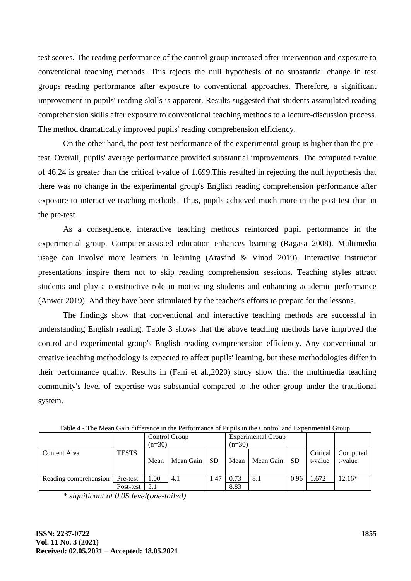test scores. The reading performance of the control group increased after intervention and exposure to conventional teaching methods. This rejects the null hypothesis of no substantial change in test groups reading performance after exposure to conventional approaches. Therefore, a significant improvement in pupils' reading skills is apparent. Results suggested that students assimilated reading comprehension skills after exposure to conventional teaching methods to a lecture-discussion process. The method dramatically improved pupils' reading comprehension efficiency.

On the other hand, the post-test performance of the experimental group is higher than the pretest. Overall, pupils' average performance provided substantial improvements. The computed t-value of 46.24 is greater than the critical t-value of 1.699.This resulted in rejecting the null hypothesis that there was no change in the experimental group's English reading comprehension performance after exposure to interactive teaching methods. Thus, pupils achieved much more in the post-test than in the pre-test.

As a consequence, interactive teaching methods reinforced pupil performance in the experimental group. Computer-assisted education enhances learning (Ragasa 2008). Multimedia usage can involve more learners in learning (Aravind & Vinod 2019). Interactive instructor presentations inspire them not to skip reading comprehension sessions. Teaching styles attract students and play a constructive role in motivating students and enhancing academic performance (Anwer 2019). And they have been stimulated by the teacher's efforts to prepare for the lessons.

The findings show that conventional and interactive teaching methods are successful in understanding English reading. Table 3 shows that the above teaching methods have improved the control and experimental group's English reading comprehension efficiency. Any conventional or creative teaching methodology is expected to affect pupils' learning, but these methodologies differ in their performance quality. Results in (Fani et al.,2020) study show that the multimedia teaching community's level of expertise was substantial compared to the other group under the traditional system.

| Taole 4 - The Mean Gain unterence in the Performance of Publis in the Control and Experimental Group |              |          |               |           |          |                           |      |                     |                     |  |  |
|------------------------------------------------------------------------------------------------------|--------------|----------|---------------|-----------|----------|---------------------------|------|---------------------|---------------------|--|--|
|                                                                                                      |              |          | Control Group |           |          | <b>Experimental Group</b> |      |                     |                     |  |  |
|                                                                                                      |              | $(n=30)$ |               |           | $(n=30)$ |                           |      |                     |                     |  |  |
| Content Area                                                                                         | <b>TESTS</b> | Mean     | Mean Gain     | <b>SD</b> | Mean     | Mean Gain                 | SD   | Critical<br>t-value | Computed<br>t-value |  |  |
| Reading comprehension                                                                                | Pre-test     | 1.00     | 4.1           | 1.47      | 0.73     | 8.1                       | 0.96 | 1.672               | 12.16*              |  |  |
|                                                                                                      | Post-test    | 5.1      |               |           | 8.83     |                           |      |                     |                     |  |  |

Table 4 - The Mean Gain difference in the Performance of Pupils in the Control and Experimental Group

*\* significant at 0.05 level(one-tailed)*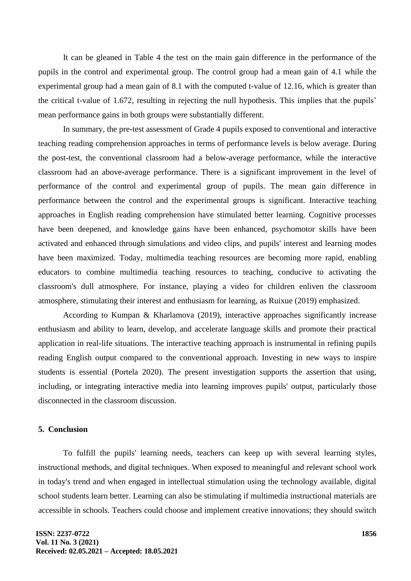It can be gleaned in Table 4 the test on the main gain difference in the performance of the pupils in the control and experimental group. The control group had a mean gain of 4.1 while the experimental group had a mean gain of 8.1 with the computed t-value of 12.16, which is greater than the critical t-value of 1.672, resulting in rejecting the null hypothesis. This implies that the pupils' mean performance gains in both groups were substantially different.

In summary, the pre-test assessment of Grade 4 pupils exposed to conventional and interactive teaching reading comprehension approaches in terms of performance levels is below average. During the post-test, the conventional classroom had a below-average performance, while the interactive classroom had an above-average performance. There is a significant improvement in the level of performance of the control and experimental group of pupils. The mean gain difference in performance between the control and the experimental groups is significant. Interactive teaching approaches in English reading comprehension have stimulated better learning. Cognitive processes have been deepened, and knowledge gains have been enhanced, psychomotor skills have been activated and enhanced through simulations and video clips, and pupils' interest and learning modes have been maximized. Today, multimedia teaching resources are becoming more rapid, enabling educators to combine multimedia teaching resources to teaching, conducive to activating the classroom's dull atmosphere. For instance, playing a video for children enliven the classroom atmosphere, stimulating their interest and enthusiasm for learning, as Ruixue (2019) emphasized.

According to Kumpan & Kharlamova (2019), interactive approaches significantly increase enthusiasm and ability to learn, develop, and accelerate language skills and promote their practical application in real-life situations. The interactive teaching approach is instrumental in refining pupils reading English output compared to the conventional approach. Investing in new ways to inspire students is essential (Portela 2020). The present investigation supports the assertion that using, including, or integrating interactive media into learning improves pupils' output, particularly those disconnected in the classroom discussion.

# **5. Conclusion**

To fulfill the pupils' learning needs, teachers can keep up with several learning styles, instructional methods, and digital techniques. When exposed to meaningful and relevant school work in today's trend and when engaged in intellectual stimulation using the technology available, digital school students learn better. Learning can also be stimulating if multimedia instructional materials are accessible in schools. Teachers could choose and implement creative innovations; they should switch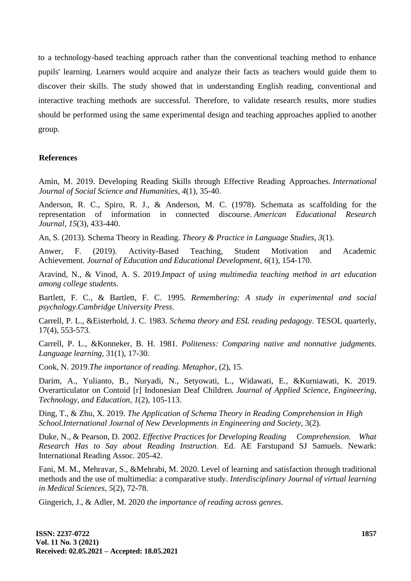to a technology-based teaching approach rather than the conventional teaching method to enhance pupils' learning. Learners would acquire and analyze their facts as teachers would guide them to discover their skills. The study showed that in understanding English reading, conventional and interactive teaching methods are successful. Therefore, to validate research results, more studies should be performed using the same experimental design and teaching approaches applied to another group.

#### **References**

Amin, M. 2019. Developing Reading Skills through Effective Reading Approaches. *International Journal of Social Science and Humanities*, *4*(1), 35-40.

Anderson, R. C., Spiro, R. J., & Anderson, M. C. (1978). Schemata as scaffolding for the representation of information in connected discourse. *American Educational Research Journal*, *15*(3), 433-440.

An, S. (2013). Schema Theory in Reading. *Theory & Practice in Language Studies*, *3*(1).

Anwer, F. (2019). Activity-Based Teaching, Student Motivation and Academic Achievement. *Journal of Education and Educational Development*, *6*(1), 154-170.

Aravind, N., & Vinod, A. S. 2019.*Impact of using multimedia teaching method in art education among college studen*ts.

Bartlett, F. C., & Bartlett, F. C. 1995*. Remembering: A study in experimental and social psychology*.*Cambridge University Press*.

Carrell, P. L., &Eisterhold, J. C. 1983. *Schema theory and ESL reading pedagogy*. TESOL quarterly, 17(4), 553-573.

Carrell, P. L., &Konneker, B. H. 1981. *Politeness: Comparing native and nonnative judgments. Language learning,* 31(1), 17-30.

Cook, N. 2019.*The importance of reading. Metaphor*, (2), 15.

Darim, A., Yulianto, B., Nuryadi, N., Setyowati, L., Widawati, E., &Kurniawati, K. 2019. Overarticulator on Contoid [r] Indonesian Deaf Children. *Journal of Applied Science, Engineering, Technology, and Education*, *1*(2), 105-113.

Ding, T., & Zhu, X. 2019. *The Application of Schema Theory in Reading Comprehension in High School.International Journal of New Developments in Engineering and Society*, 3(2).

Duke, N., & Pearson, D. 2002. *Effective Practices for Developing Reading Comprehension. What Research Has to Say about Reading Instruction*. Ed. AE Farstupand SJ Samuels. Newark: International Reading Assoc. 205-42.

Fani, M. M., Mehravar, S., &Mehrabi, M. 2020. Level of learning and satisfaction through traditional methods and the use of multimedia: a comparative study. *Interdisciplinary Journal of virtual learning in Medical Sciences, 5*(2), 72-78.

Gingerich, J., & Adler, M. 2020 *the importance of reading across genres*.